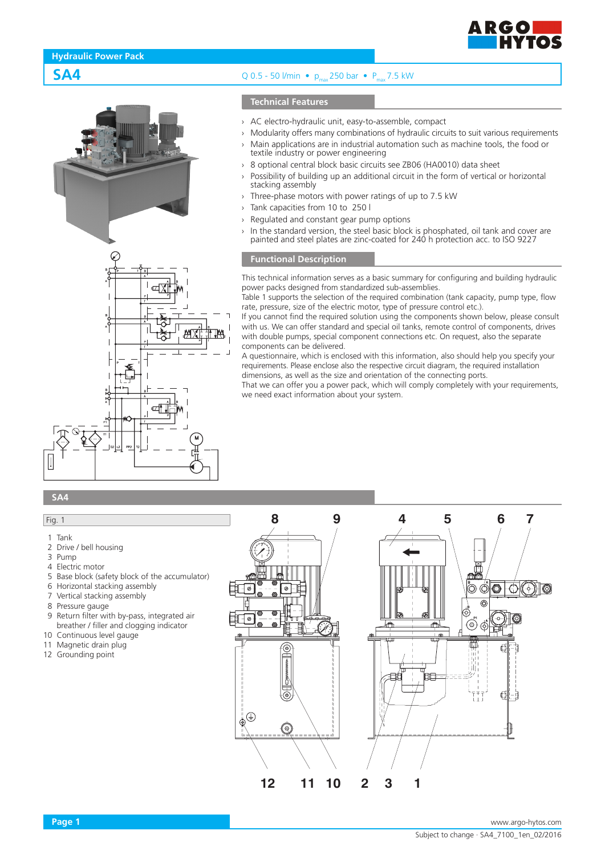

# **SA4** Q 0.5 - 50 l/min •  $p_{\text{max}}$  250 bar •  $P_{\text{max}}$  7.5 kW

### **Technical Features**

- › AC electro-hydraulic unit, easy-to-assemble, compact
- › Modularity offers many combinations of hydraulic circuits to suit various requirements

**ARGOD** 

- Main applications are in industrial automation such as machine tools, the food or textile industry or power engineering
- 8 optional central block basic circuits see ZB06 (HA0010) data sheet
- Possibility of building up an additional circuit in the form of vertical or horizontal stacking assembly
- Three-phase motors with power ratings of up to 7.5 kW
- Tank capacities from 10 to 250 l
- Regulated and constant gear pump options
- $\rightarrow$  In the standard version, the steel basic block is phosphated, oil tank and cover are painted and steel plates are zinc-coated for 240 h protection acc. to ISO 9227

#### **Functional Description**

This technical information serves as a basic summary for configuring and building hydraulic power packs designed from standardized sub-assemblies.

Table 1 supports the selection of the required combination (tank capacity, pump type, flow rate, pressure, size of the electric motor, type of pressure control etc.).

If you cannot find the required solution using the components shown below, please consult with us. We can offer standard and special oil tanks, remote control of components, drives with double pumps, special component connections etc. On request, also the separate components can be delivered.

A questionnaire, which is enclosed with this information, also should help you specify your requirements. Please enclose also the respective circuit diagram, the required installation dimensions, as well as the size and orientation of the connecting ports.

That we can offer you a power pack, which will comply completely with your requirements, we need exact information about your system.

# **SA4**

# Fig. 1

- 1 Tank
- 2 Drive / bell housing
- 3 Pump
- 4 Electric motor
- 5 Base block (safety block of the accumulator)
- 6 Horizontal stacking assembly
- 7 Vertical stacking assembly
- 8 Pressure gauge
- 9 Return filter with by-pass, integrated air breather / filler and clogging indicator
- 10 Continuous level gauge
- 11 Magnetic drain plug
- 12 Grounding point

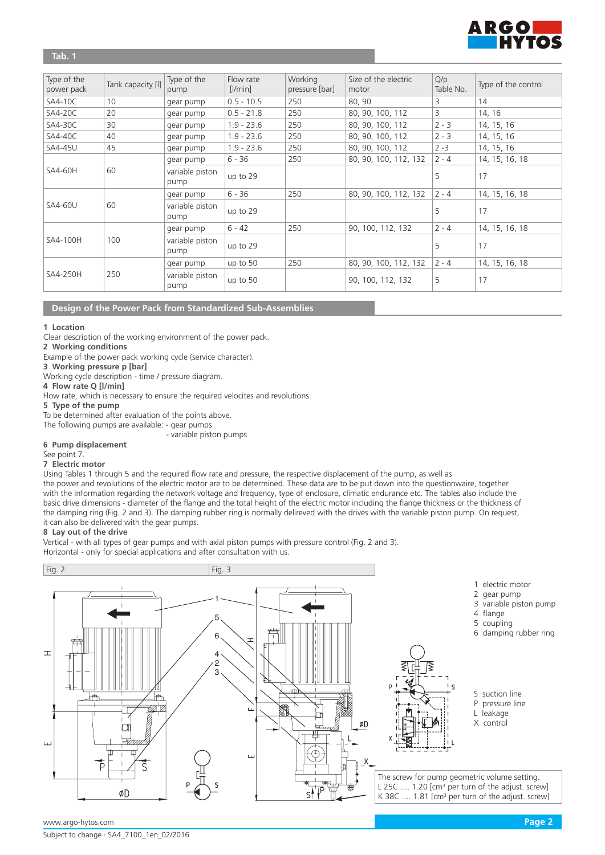

# **Tab. 1**

| Type of the<br>power pack | Tank capacity [I] | Type of the<br>pump     | Flow rate<br>$[$ I/min $]$ | Working<br>pressure [bar] | Size of the electric<br>motor | Q/p<br>Table No. | Type of the control |
|---------------------------|-------------------|-------------------------|----------------------------|---------------------------|-------------------------------|------------------|---------------------|
| SA4-10C                   | 10                | gear pump               | $0.5 - 10.5$               | 250                       | 80,90                         | 3                | 14                  |
| SA4-20C                   | 20                | gear pump               | $0.5 - 21.8$               | 250                       | 80, 90, 100, 112              | 3                | 14, 16              |
| SA4-30C                   | 30                | gear pump               | $1.9 - 23.6$               | 250                       | 80, 90, 100, 112              | $2 - 3$          | 14, 15, 16          |
| $SAA-40C$                 | 40                | gear pump               | $1.9 - 23.6$               | 250                       | 80, 90, 100, 112              | $2 - 3$          | 14, 15, 16          |
| <b>SA4-45U</b>            | 45                | gear pump               | $1.9 - 23.6$               | 250                       | 80, 90, 100, 112              | $2 - 3$          | 14, 15, 16          |
|                           |                   | gear pump               | $6 - 36$                   | 250                       | 80, 90, 100, 112, 132         | $2 - 4$          | 14, 15, 16, 18      |
| <b>SA4-60H</b>            | 60                | variable piston<br>pump | up to 29                   |                           |                               | 5                | 17                  |
|                           |                   | gear pump               | $6 - 36$                   | 250                       | 80, 90, 100, 112, 132         | $2 - 4$          | 14, 15, 16, 18      |
| <b>SA4-60U</b>            | 60                | variable piston<br>pump | up to 29                   |                           |                               | 5                | 17                  |
|                           |                   | gear pump               | $6 - 42$                   | 250                       | 90, 100, 112, 132             | $2 - 4$          | 14, 15, 16, 18      |
| SA4-100H                  | 100               | variable piston<br>pump | up to 29                   |                           |                               | 5                | 17                  |
|                           |                   | gear pump               | up to $50$                 | 250                       | 80, 90, 100, 112, 132         | $2 - 4$          | 14, 15, 16, 18      |
| SA4-250H                  | 250               | variable piston<br>pump | up to 50                   |                           | 90, 100, 112, 132             | 5                | 17                  |

# **Design of the Power Pack from Standardized Sub-Assemblies**

#### **1 Location**

Clear description of the working environment of the power pack.

**2 Working conditions**

Example of the power pack working cycle (service character).

**3 Working pressure p [bar]**

Working cycle description - time / pressure diagram.

**4 Flow rate Q [l/min]**

Flow rate, which is necessary to ensure the required velocites and revolutions.

**5 Type of the pump**

To be determined after evaluation of the points above.

The following pumps are available: - gear pumps

- variable piston pumps

**6 Pump displacement**

See point 7.

**7 Electric motor**

Using Tables 1 through 5 and the required flow rate and pressure, the respective displacement of the pump, as well as

the power and revolutions of the electric motor are to be determined. These data are to be put down into the questionwaire, together with the information regarding the network voltage and frequency, type of enclosure, climatic endurance etc. The tables also include the basic drive dimensions - diameter of the flange and the total height of the electric motor including the flange thickness or the thickness of the damping ring (Fig. 2 and 3). The damping rubber ring is normally delireved with the drives with the variable piston pump. On request, it can also be delivered with the gear pumps.

#### **8 Lay out of the drive**

Vertical - with all types of gear pumps and with axial piston pumps with pressure control (Fig. 2 and 3). Horizontal - only for special applications and after consultation with us.

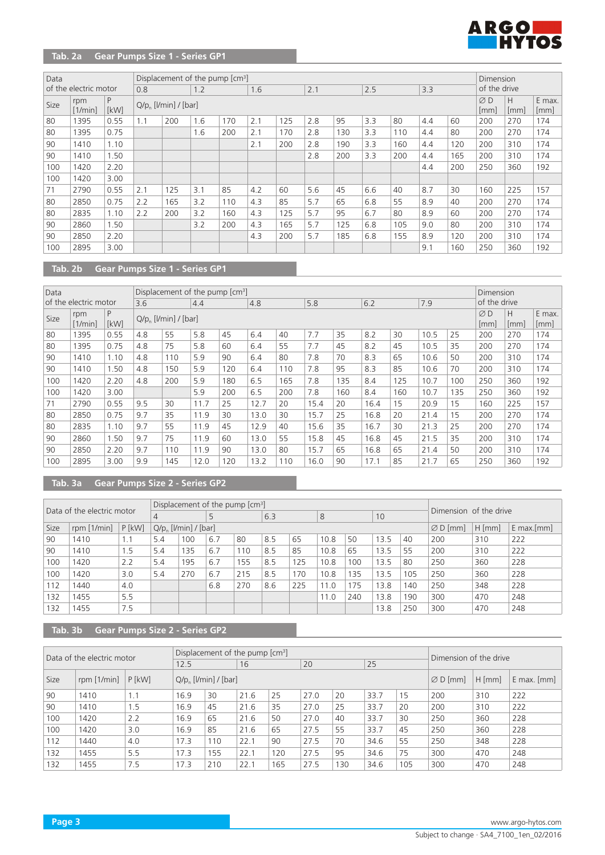

# **Tab. 2a Gear Pumps Size 1 - Series GP1**

| Data |                       |           |     |                          | Displacement of the pump [cm <sup>3</sup> ] |     |     |     |     |     |     |     |     |     | Dimension               |           |                |
|------|-----------------------|-----------|-----|--------------------------|---------------------------------------------|-----|-----|-----|-----|-----|-----|-----|-----|-----|-------------------------|-----------|----------------|
|      | of the electric motor |           | 0.8 |                          | 1.2                                         |     | 1.6 |     | 2.1 |     | 2.5 |     | 3.3 |     | of the drive            |           |                |
| Size | rpm<br>[1/min]        | P<br>[kW] |     | $Q/p$ [ $Vmin$ ] / [bar] |                                             |     |     |     |     |     |     |     |     |     | $\varnothing$ D<br>[mm] | H<br>[mm] | E max.<br>[mm] |
| 80   | 1395                  | 0.55      | 1.1 | 200                      | 1.6                                         | 170 | 2.1 | 125 | 2.8 | 95  | 3.3 | 80  | 4.4 | 60  | 200                     | 270       | 174            |
| 80   | 1395                  | 0.75      |     |                          | 1.6                                         | 200 | 2.1 | 170 | 2.8 | 130 | 3.3 | 110 | 4.4 | 80  | 200                     | 270       | 174            |
| 90   | 1410                  | 1.10      |     |                          |                                             |     | 2.1 | 200 | 2.8 | 190 | 3.3 | 160 | 4.4 | 120 | 200                     | 310       | 174            |
| 90   | 1410                  | 1.50      |     |                          |                                             |     |     |     | 2.8 | 200 | 3.3 | 200 | 4.4 | 165 | 200                     | 310       | 174            |
| 100  | 1420                  | 2.20      |     |                          |                                             |     |     |     |     |     |     |     | 4.4 | 200 | 250                     | 360       | 192            |
| 100  | 1420                  | 3.00      |     |                          |                                             |     |     |     |     |     |     |     |     |     |                         |           |                |
| 71   | 2790                  | 0.55      | 2.1 | 125                      | 3.1                                         | 85  | 4.2 | 60  | 5.6 | 45  | 6.6 | 40  | 8.7 | 30  | 160                     | 225       | 157            |
| 80   | 2850                  | 0.75      | 2.2 | 165                      | 3.2                                         | 110 | 4.3 | 85  | 5.7 | 65  | 6.8 | 55  | 8.9 | 40  | 200                     | 270       | 174            |
| 80   | 2835                  | 1.10      | 2.2 | 200                      | 3.2                                         | 160 | 4.3 | 125 | 5.7 | 95  | 6.7 | 80  | 8.9 | 60  | 200                     | 270       | 174            |
| 90   | 2860                  | 1.50      |     |                          | 3.2                                         | 200 | 4.3 | 165 | 5.7 | 125 | 6.8 | 105 | 9.0 | 80  | 200                     | 310       | 174            |
| 90   | 2850                  | 2.20      |     |                          |                                             |     | 4.3 | 200 | 5.7 | 185 | 6.8 | 155 | 8.9 | 120 | 200                     | 310       | 174            |
| 100  | 2895                  | 3.00      |     |                          |                                             |     |     |     |     |     |     |     | 9.1 | 160 | 250                     | 360       | 192            |

# **Tab. 2b Gear Pumps Size 1 - Series GP1**

| Data |                       |           |     | Displacement of the pump $\text{[cm]}$ |      |     |      |     |      |     |      |     |      |     | Dimension    |          |                |
|------|-----------------------|-----------|-----|----------------------------------------|------|-----|------|-----|------|-----|------|-----|------|-----|--------------|----------|----------------|
|      | of the electric motor |           | 3.6 |                                        | 4.4  |     | 4.8  |     | 5.8  |     | 6.2  |     | 7.9  |     | of the drive |          |                |
| Size | rpm<br>[1/min]        | P<br>[kW] |     | $Q/p$ [ $Vmin$ ] / [bar]               |      |     |      |     |      |     |      |     |      |     | ØD<br>[mm]   | Н<br> mm | E max.<br>[mm] |
| 80   | 1395                  | 0.55      | 4.8 | 55                                     | 5.8  | 45  | 6.4  | 40  | 7.7  | 35  | 8.2  | 30  | 10.5 | 25  | 200          | 270      | 174            |
| 80   | 1395                  | 0.75      | 4.8 | 75                                     | 5.8  | 60  | 6.4  | 55  | 7.7  | 45  | 8.2  | 45  | 10.5 | 35  | 200          | 270      | 174            |
| 90   | 1410                  | 1.10      | 4.8 | 110                                    | 5.9  | 90  | 6.4  | 80  | 7.8  | 70  | 8.3  | 65  | 10.6 | 50  | 200          | 310      | 174            |
| 90   | 1410                  | 1.50      | 4.8 | 150                                    | 5.9  | 120 | 6.4  | 110 | 7.8  | 95  | 8.3  | 85  | 10.6 | 70  | 200          | 310      | 174            |
| 100  | 1420                  | 2.20      | 4.8 | 200                                    | 5.9  | 180 | 6.5  | 165 | 7.8  | 135 | 8.4  | 125 | 10.7 | 100 | 250          | 360      | 192            |
| 100  | 1420                  | 3.00      |     |                                        | 5.9  | 200 | 6.5  | 200 | 7.8  | 160 | 8.4  | 160 | 10.7 | 135 | 250          | 360      | 192            |
| 71   | 2790                  | 0.55      | 9.5 | 30                                     | 11.7 | 25  | 12.7 | 20  | 15.4 | 20  | 16.4 | 15  | 20.9 | 15  | 160          | 225      | 157            |
| 80   | 2850                  | 0.75      | 9.7 | 35                                     | 11.9 | 30  | 13.0 | 30  | 15.7 | 25  | 16.8 | 20  | 21.4 | 15  | 200          | 270      | 174            |
| 80   | 2835                  | 1.10      | 9.7 | 55                                     | 11.9 | 45  | 12.9 | 40  | 15.6 | 35  | 16.7 | 30  | 21.3 | 25  | 200          | 270      | 174            |
| 90   | 2860                  | 1.50      | 9.7 | 75                                     | 11.9 | 60  | 13.0 | 55  | 15.8 | 45  | 16.8 | 45  | 21.5 | 35  | 200          | 310      | 174            |
| 90   | 2850                  | 2.20      | 9.7 | 110                                    | 11.9 | 90  | 13.0 | 80  | 15.7 | 65  | 16.8 | 65  | 21.4 | 50  | 200          | 310      | 174            |
| 100  | 2895                  | 3.00      | 9.9 | 145                                    | 12.0 | 120 | 13.2 | 110 | 16.0 | 90  | 17.1 | 85  | 21.7 | 65  | 250          | 360      | 192            |

# **Tab. 3a Gear Pumps Size 2 - Series GP2**

|      | Data of the electric motor |          |     |                                    | Displacement of the pump $\text{[cm]}$ |     |     |     |      |     |      |     | Dimension of the drive |          |               |
|------|----------------------------|----------|-----|------------------------------------|----------------------------------------|-----|-----|-----|------|-----|------|-----|------------------------|----------|---------------|
|      |                            |          | 4   |                                    | 5                                      |     | 6.3 |     | 8    |     | 10   |     |                        |          |               |
| Size | rpm $[1/min]$              | $P$ [kW] |     | $Q/p_{n}$ [ <i>l</i> /min] / [bar] |                                        |     |     |     |      |     |      |     | $\varnothing$ D [mm]   | $H$ [mm] | $E$ max. [mm] |
| 90   | 1410                       | 1.1      | 5.4 | 100                                | 6.7                                    | 80  | 8.5 | 65  | 10.8 | 50  | 13.5 | 40  | 200                    | 310      | 222           |
| 90   | 1410                       | 1.5      | 5.4 | 135                                | 6.7                                    | 110 | 8.5 | 85  | 10.8 | 65  | 13.5 | 55  | 200                    | 310      | 222           |
| 100  | 1420                       | 2.2      | 5.4 | 195                                | 6.7                                    | 155 | 8.5 | 125 | 10.8 | 100 | 13.5 | 80  | 250                    | 360      | 228           |
| 100  | 1420                       | 3.0      | 5.4 | 270                                | 6.7                                    | 215 | 8.5 | 170 | 10.8 | 135 | 13.5 | 105 | 250                    | 360      | 228           |
| 12   | 1440                       | 4.0      |     |                                    | 6.8                                    | 270 | 8.6 | 225 | 11.0 | 175 | 13.8 | 140 | 250                    | 348      | 228           |
| 132  | 1455                       | 5.5      |     |                                    |                                        |     |     |     | 11.0 | 240 | 13.8 | 190 | 300                    | 470      | 248           |
| 132  | 1455                       | 7.5      |     |                                    |                                        |     |     |     |      |     | 13.8 | 250 | 300                    | 470      | 248           |

**Tab. 3b Gear Pumps Size 2 - Series GP2**

|      | Data of the electric motor |          |      |                                    | Displacement of the pump [cm <sup>3</sup> ] |     |      | Dimension of the drive |      |     |                      |          |                 |
|------|----------------------------|----------|------|------------------------------------|---------------------------------------------|-----|------|------------------------|------|-----|----------------------|----------|-----------------|
|      |                            |          | 12.5 |                                    | 16                                          |     | 20   |                        | 25   |     |                      |          |                 |
| Size | rpm $[1/min]$              | $P$ [kW] |      | $Q/p_{n}$ [ <i>l</i> /min] / [bar] |                                             |     |      |                        |      |     | $\varnothing$ D [mm] | $H$ [mm] | $E$ max. $[mm]$ |
| 90   | 1410                       | 1.1      | 16.9 | 30                                 | 21.6                                        | 25  | 27.0 | 20                     | 33.7 | 15  | 200                  | 310      | 222             |
| 90   | 1410                       | ۱.5      | 16.9 | 45                                 | 21.6                                        | 35  | 27.0 | 25                     | 33.7 | 20  | 200                  | 310      | 222             |
| 100  | 1420                       | 2.2      | 16.9 | 65                                 | 21.6                                        | 50  | 27.0 | 40                     | 33.7 | 30  | 250                  | 360      | 228             |
| 100  | 1420                       | 3.0      | 16.9 | 85                                 | 21.6                                        | 65  | 27.5 | 55                     | 33.7 | 45  | 250                  | 360      | 228             |
| 112  | 1440                       | 4.0      | 17.3 | 110                                | 22.1                                        | 90  | 27.5 | 70                     | 34.6 | 55  | 250                  | 348      | 228             |
| 132  | 1455                       | 5.5      | 17.3 | 155                                | 22.1                                        | 120 | 27.5 | 95                     | 34.6 | 75  | 300                  | 470      | 248             |
| 132  | 1455                       | 7.5      | 17.3 | 210                                | 22.1                                        | 165 | 27.5 | 130                    | 34.6 | 105 | 300                  | 470      | 248             |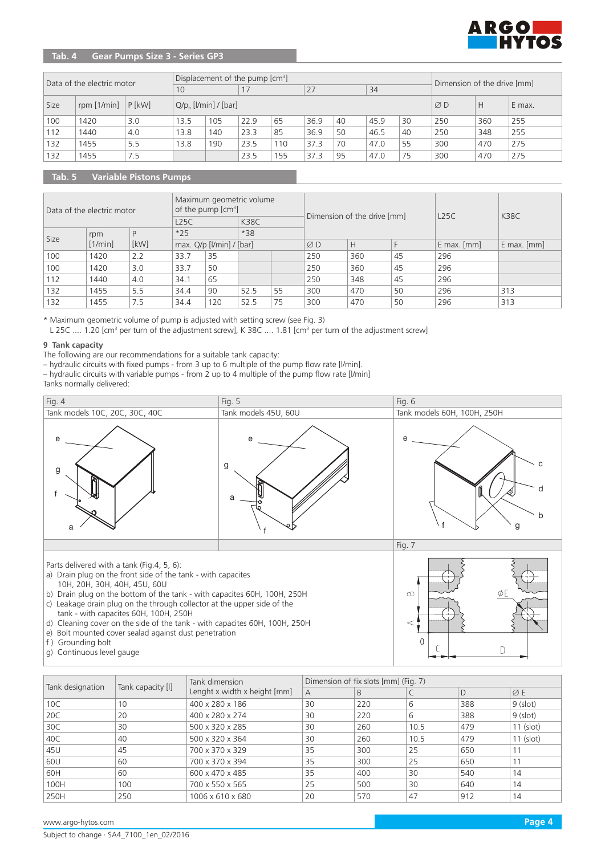

# **Tab. 4 Gear Pumps Size 3 - Series GP3**

|      | Data of the electric motor |          |      |                                    | Displacement of the pump [cm <sup>3</sup> ] | Dimension of the drive [mm] |      |                 |      |        |     |     |     |  |
|------|----------------------------|----------|------|------------------------------------|---------------------------------------------|-----------------------------|------|-----------------|------|--------|-----|-----|-----|--|
|      |                            |          | 10   |                                    | 17                                          |                             | 27   |                 | 34   |        |     |     |     |  |
| Size | rpm $[1/\text{min}]$       | $P$ [kW] |      | $Q/p_{n}$ [ <i>l</i> /min] / [bar] |                                             |                             |      | $\varnothing$ D | Н    | E max. |     |     |     |  |
| 100  | 1420                       | 3.0      | 13.5 | 105                                | 22.9                                        | 65                          | 36.9 | 40              | 45.9 | 30     | 250 | 360 | 255 |  |
| 112  | 1440                       | 4.0      | 13.8 | 140                                | 23.3                                        | 85                          | 36.9 | 50              | 46.5 | 40     | 250 | 348 | 255 |  |
| 132  | 1455                       | 5.5      | 13.8 | 190                                | 23.5                                        | 110                         | 37.3 | 70              | 47.0 | 55     | 300 | 470 | 275 |  |
| 132  | 1455                       | 7.5      |      |                                    | 23.5                                        | 155                         | 37.3 | 95              | 47.0 | 75     | 300 | 470 | 275 |  |

# **Tab. 5 Variable Pistons Pumps**

|      | Data of the electric motor |      |                                | Maximum geometric volume<br>of the pump [cm <sup>3</sup> ] |             |    |     | Dimension of the drive [mm] |    | L25C            | <b>K38C</b>     |
|------|----------------------------|------|--------------------------------|------------------------------------------------------------|-------------|----|-----|-----------------------------|----|-----------------|-----------------|
|      |                            |      | L25C                           |                                                            | <b>K38C</b> |    |     |                             |    |                 |                 |
| Size | rpm                        |      | $*25$                          |                                                            | $*38$       |    |     |                             |    |                 |                 |
|      | [1/min]                    | [kW] | max. $Q/p$ [ $l/min$ ] / [bar] |                                                            |             |    | ØD  | H                           |    | $E$ max. $[mm]$ | $E$ max. $[mm]$ |
| 100  | 1420                       | 2.2  | 33.7                           | 35                                                         |             |    | 250 | 360                         | 45 | 296             |                 |
| 100  | 1420                       | 3.0  | 33.7                           | 50                                                         |             |    | 250 | 360                         | 45 | 296             |                 |
| 112  | 1440                       | 4.0  | 34.1                           | 65                                                         |             |    | 250 | 348                         | 45 | 296             |                 |
| 132  | 1455                       | 5.5  | 34.4                           | 90                                                         | 52.5        | 55 | 300 | 470                         | 50 | 296             | 313             |
| 132  | 1455                       | 7.5  | 34.4                           | 120                                                        | 52.5        | 75 | 300 | 470                         | 50 | 296             | 313             |

\* Maximum geometric volume of pump is adjusted with setting screw (see Fig. 3)

L 25C .... 1.20 [cm<sup>3</sup> per turn of the adjustment screw], K 38C .... 1.81 [cm<sup>3</sup> per turn of the adjustment screw]

#### **9 Tank capacity**

The following are our recommendations for a suitable tank capacity:

– hydraulic circuits with fixed pumps - from 3 up to 6 multiple of the pump flow rate [l/min].

– hydraulic circuits with variable pumps - from 2 up to 4 multiple of the pump flow rate [l/min] Tanks normally delivered:



- f ) Grounding bolt
- g) Continuous level gauge

|                  |                   | Tank dimension                 |                | Dimension of fix slots [mm] (Fig. 7) |      |     |                 |
|------------------|-------------------|--------------------------------|----------------|--------------------------------------|------|-----|-----------------|
| Tank designation | Tank capacity [I] | Lenght x width x height $[mm]$ | $\overline{A}$ | B                                    |      | D   | $\varnothing$ E |
| 10C              | 10                | 400 x 280 x 186                | 30             | 220                                  | 6    | 388 | $9$ (slot)      |
| 20C              | 20                | 400 x 280 x 274                | 30             | 220                                  | 6    | 388 | $9$ (slot)      |
| 30C              | 30                | 500 x 320 x 285                | 30             | 260                                  | 10.5 | 479 | $11$ (slot)     |
| 40C              | 40                | 500 x 320 x 364                | 30             | 260                                  | 10.5 | 479 | 11 (slot)       |
| 45U              | 45                | 700 x 370 x 329                | 35             | 300                                  | 25   | 650 |                 |
| 60U              | 60                | 700 x 370 x 394                | 35             | 300                                  | 25   | 650 | 11              |
| 60H              | 60                | 600 x 470 x 485                | 35             | 400                                  | 30   | 540 | 14              |
| 100H             | 100               | 700 x 550 x 565                | 25             | 500                                  | 30   | 640 | 14              |
| 250H             | 250               | 1006 x 610 x 680               | 20             | 570                                  | 47   | 912 | 14              |

 $\sqrt{2}$ 

 $\Box$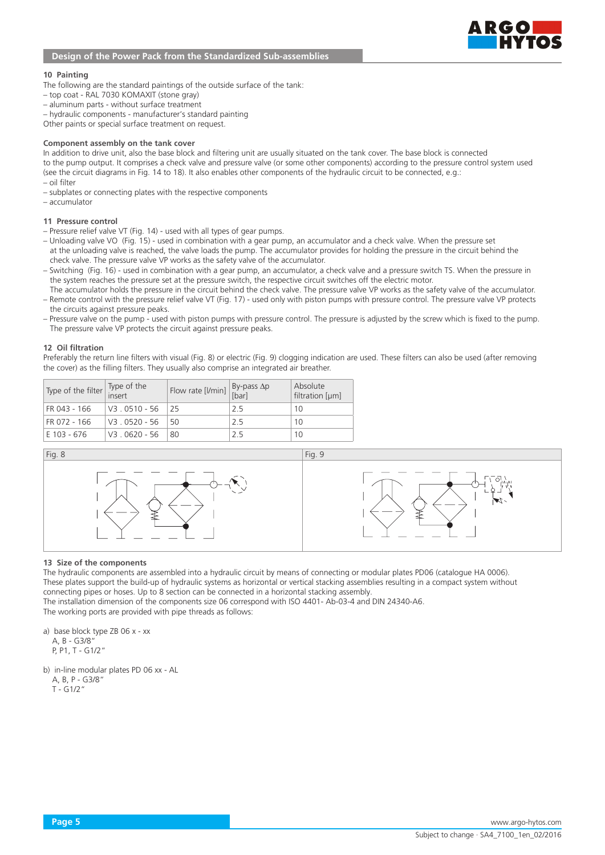

#### **10 Painting**

- The following are the standard paintings of the outside surface of the tank:
- top coat RAL 7030 KOMAXIT (stone gray)
- aluminum parts without surface treatment
- hydraulic components manufacturer's standard painting
- Other paints or special surface treatment on request.

#### **Component assembly on the tank cover**

In addition to drive unit, also the base block and filtering unit are usually situated on the tank cover. The base block is connected to the pump output. It comprises a check valve and pressure valve (or some other components) according to the pressure control system used (see the circuit diagrams in Fig. 14 to 18). It also enables other components of the hydraulic circuit to be connected, e.g.: – oil filter

- subplates or connecting plates with the respective components
- accumulator

#### **11 Pressure control**

- Pressure relief valve VT (Fig. 14) used with all types of gear pumps.
- Unloading valve VO (Fig. 15) used in combination with a gear pump, an accumulator and a check valve. When the pressure set at the unloading valve is reached, the valve loads the pump. The accumulator provides for holding the pressure in the circuit behind the check valve. The pressure valve VP works as the safety valve of the accumulator.
- Switching (Fig. 16) used in combination with a gear pump, an accumulator, a check valve and a pressure switch TS. When the pressure in the system reaches the pressure set at the pressure switch, the respective circuit switches off the electric motor.
- The accumulator holds the pressure in the circuit behind the check valve. The pressure valve VP works as the safety valve of the accumulator. – Remote control with the pressure relief valve VT (Fig. 17) - used only with piston pumps with pressure control. The pressure valve VP protects the circuits against pressure peaks.
- Pressure valve on the pump used with piston pumps with pressure control. The pressure is adjusted by the screw which is fixed to the pump. The pressure valve VP protects the circuit against pressure peaks.

#### **12 Oil filtration**

Preferably the return line filters with visual (Fig. 8) or electric (Fig. 9) clogging indication are used. These filters can also be used (after removing the cover) as the filling filters. They usually also comprise an integrated air breather.

| Type of the filter Type of the |                        | Flow rate [l/min] $\begin{vmatrix} By-pass \ \text{for} \end{vmatrix}$ |     | Absolute<br>filtration $[µm]$ |
|--------------------------------|------------------------|------------------------------------------------------------------------|-----|-------------------------------|
| FR 043 - 166                   | $\sqrt{3}$ , 0510 - 56 | 25                                                                     | 2.5 | 10                            |
| FR 072 - 166                   | $V3.0520 - 56$         | 50                                                                     | 25  | 10                            |
| E 103 - 676                    | V3 . 0620 - 56         | -80                                                                    | フ5  | 10                            |

Fig. 8 Fig. 9

#### **13 Size of the components**

The hydraulic components are assembled into a hydraulic circuit by means of connecting or modular plates PD06 (catalogue HA 0006). These plates support the build-up of hydraulic systems as horizontal or vertical stacking assemblies resulting in a compact system without connecting pipes or hoses. Up to 8 section can be connected in a horizontal stacking assembly.

The installation dimension of the components size 06 correspond with ISO 4401- Ab-03-4 and DIN 24340-A6. The working ports are provided with pipe threads as follows:

a) base block type ZB 06 x - xx A, B - G3/8" P, P1, T - G1/2"

b) in-line modular plates PD 06 xx - AL

 A, B, P - G3/8" T - G1/2"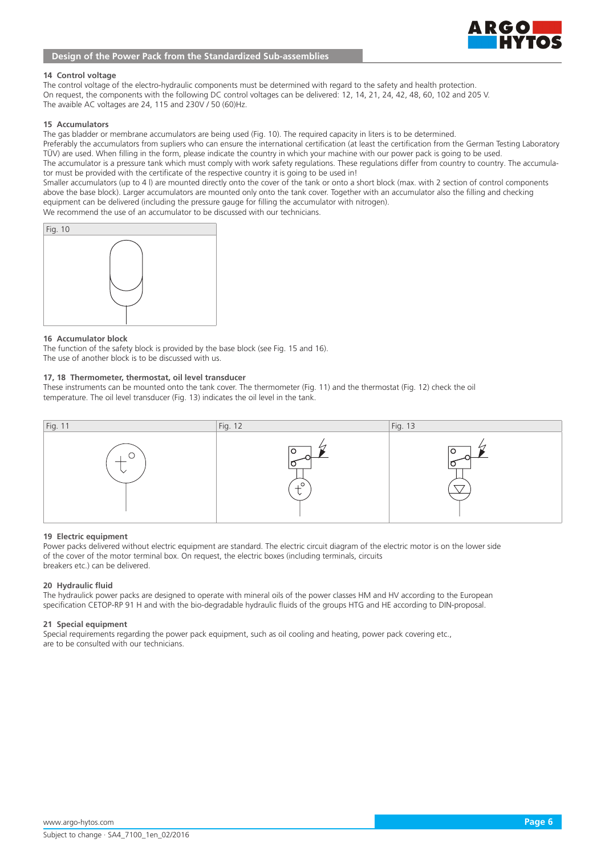# RGOI

# **Design of the Power Pack from the Standardized Sub-assemblies**

#### **14 Control voltage**

The control voltage of the electro-hydraulic components must be determined with regard to the safety and health protection. On request, the components with the following DC control voltages can be delivered: 12, 14, 21, 24, 42, 48, 60, 102 and 205 V. The avaible AC voltages are 24, 115 and 230V / 50 (60)Hz.

#### **15 Accumulators**

The gas bladder or membrane accumulators are being used (Fig. 10). The required capacity in liters is to be determined. Preferably the accumulators from supliers who can ensure the international certification (at least the certification from the German Testing Laboratory TÜV) are used. When filling in the form, please indicate the country in which your machine with our power pack is going to be used. The accumulator is a pressure tank which must comply with work safety regulations. These regulations differ from country to country. The accumulator must be provided with the certificate of the respective country it is going to be used in!

Smaller accumulators (up to 4 l) are mounted directly onto the cover of the tank or onto a short block (max. with 2 section of control components above the base block). Larger accumulators are mounted only onto the tank cover. Together with an accumulator also the filling and checking equipment can be delivered (including the pressure gauge for filling the accumulator with nitrogen).

We recommend the use of an accumulator to be discussed with our technicians.



#### **16 Accumulator block**

The function of the safety block is provided by the base block (see Fig. 15 and 16). The use of another block is to be discussed with us.

#### **17, 18 Thermometer, thermostat, oil level transducer**

These instruments can be mounted onto the tank cover. The thermometer (Fig. 11) and the thermostat (Fig. 12) check the oil temperature. The oil level transducer (Fig. 13) indicates the oil level in the tank.



#### **19 Electric equipment**

Power packs delivered without electric equipment are standard. The electric circuit diagram of the electric motor is on the lower side of the cover of the motor terminal box. On request, the electric boxes (including terminals, circuits breakers etc.) can be delivered.

#### **20 Hydraulic fluid**

The hydraulick power packs are designed to operate with mineral oils of the power classes HM and HV according to the European specification CETOP-RP 91 H and with the bio-degradable hydraulic fluids of the groups HTG and HE according to DIN-proposal.

#### **21 Special equipment**

Special requirements regarding the power pack equipment, such as oil cooling and heating, power pack covering etc., are to be consulted with our technicians.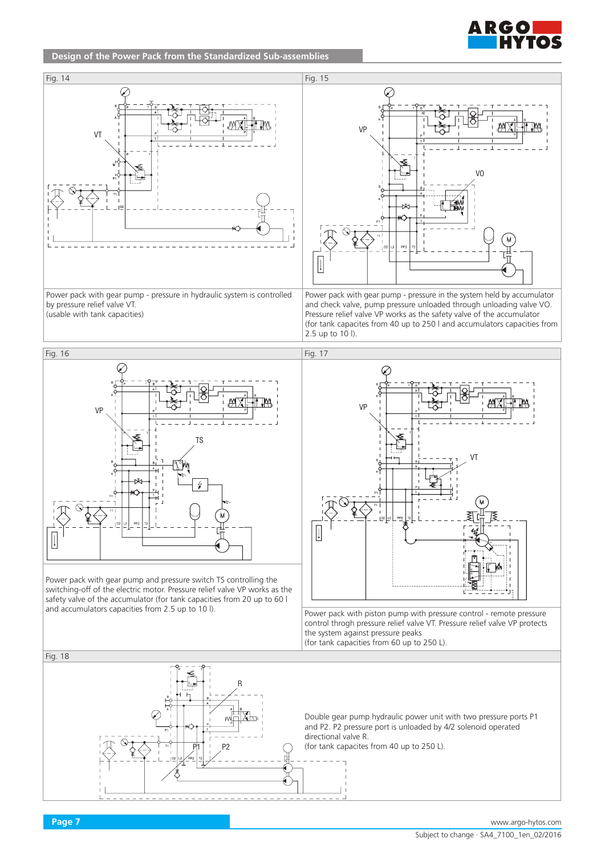

# **Design of the Power Pack from the Standardized Sub-assemblies**





Power pack with gear pump and pressure switch TS controlling the switching-off of the electric motor. Pressure relief valve VP works as the safety valve of the accumulator (for tank capacities from 20 up to 60 l and accumulators capacities from 2.5 up to 10 l).



Power pack with piston pump with pressure control - remote pressure control throgh pressure relief valve VT. Pressure relief valve VP protects the system against pressure peaks (for tank capacities from 60 up to 250 L).

R P11 P2 Fig. 18 Double gear pump hydraulic power unit with two pressure ports P1 and P2. P2 pressure port is unloaded by 4/2 solenoid operated directional valve R. (for tank capacites from 40 up to 250 L).